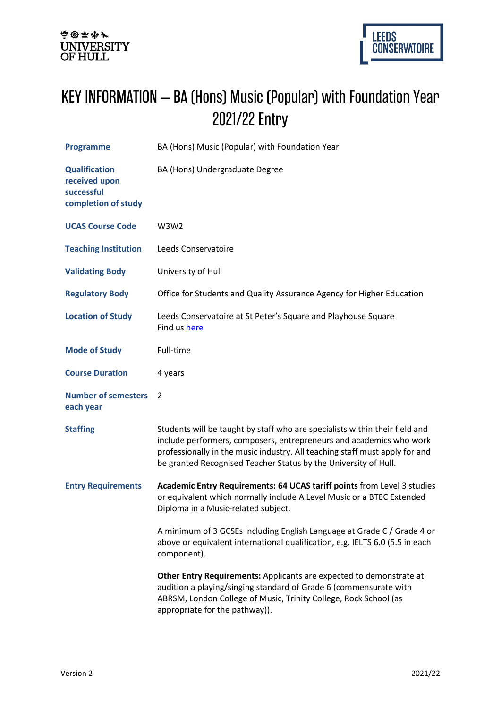## KEY INFORMATION – BA (Hons) Music (Popular) with Foundation Year 2021/22 Entry

| <b>Programme</b>                                                           | BA (Hons) Music (Popular) with Foundation Year                                                                                                                                                                                                                                                       |
|----------------------------------------------------------------------------|------------------------------------------------------------------------------------------------------------------------------------------------------------------------------------------------------------------------------------------------------------------------------------------------------|
| <b>Qualification</b><br>received upon<br>successful<br>completion of study | BA (Hons) Undergraduate Degree                                                                                                                                                                                                                                                                       |
| <b>UCAS Course Code</b>                                                    | W3W2                                                                                                                                                                                                                                                                                                 |
| <b>Teaching Institution</b>                                                | Leeds Conservatoire                                                                                                                                                                                                                                                                                  |
| <b>Validating Body</b>                                                     | University of Hull                                                                                                                                                                                                                                                                                   |
| <b>Regulatory Body</b>                                                     | Office for Students and Quality Assurance Agency for Higher Education                                                                                                                                                                                                                                |
| <b>Location of Study</b>                                                   | Leeds Conservatoire at St Peter's Square and Playhouse Square<br>Find us here                                                                                                                                                                                                                        |
| <b>Mode of Study</b>                                                       | Full-time                                                                                                                                                                                                                                                                                            |
| <b>Course Duration</b>                                                     | 4 years                                                                                                                                                                                                                                                                                              |
| <b>Number of semesters</b><br>each year                                    | $\overline{2}$                                                                                                                                                                                                                                                                                       |
| <b>Staffing</b>                                                            | Students will be taught by staff who are specialists within their field and<br>include performers, composers, entrepreneurs and academics who work<br>professionally in the music industry. All teaching staff must apply for and<br>be granted Recognised Teacher Status by the University of Hull. |
| <b>Entry Requirements</b>                                                  | Academic Entry Requirements: 64 UCAS tariff points from Level 3 studies<br>or equivalent which normally include A Level Music or a BTEC Extended<br>Diploma in a Music-related subject.                                                                                                              |
|                                                                            | A minimum of 3 GCSEs including English Language at Grade C / Grade 4 or<br>above or equivalent international qualification, e.g. IELTS 6.0 (5.5 in each<br>component).                                                                                                                               |
|                                                                            | Other Entry Requirements: Applicants are expected to demonstrate at<br>audition a playing/singing standard of Grade 6 (commensurate with<br>ABRSM, London College of Music, Trinity College, Rock School (as<br>appropriate for the pathway)).                                                       |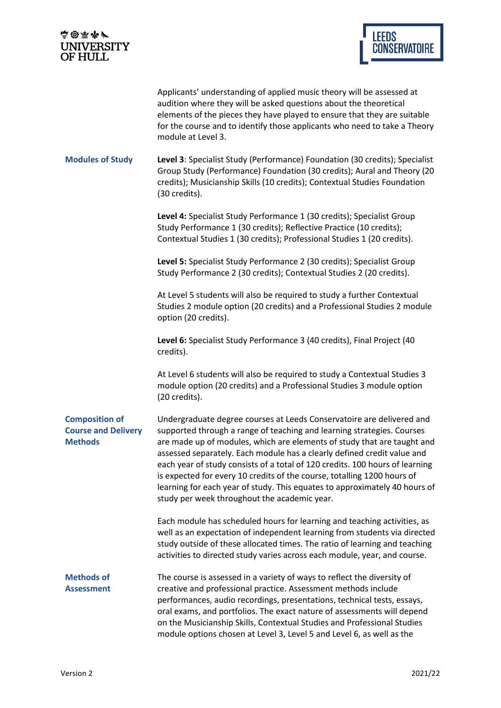| 高国雨が<br><b>UNIVERSITY</b><br>OF HULL                                  |                                                                                                                                                                                                                                                                                                                                                                                                                                                                                                                                                                                                | <b>LEEDS</b><br><b>CONSERVATOIRE</b> |
|-----------------------------------------------------------------------|------------------------------------------------------------------------------------------------------------------------------------------------------------------------------------------------------------------------------------------------------------------------------------------------------------------------------------------------------------------------------------------------------------------------------------------------------------------------------------------------------------------------------------------------------------------------------------------------|--------------------------------------|
|                                                                       | Applicants' understanding of applied music theory will be assessed at<br>audition where they will be asked questions about the theoretical<br>elements of the pieces they have played to ensure that they are suitable<br>for the course and to identify those applicants who need to take a Theory<br>module at Level 3.                                                                                                                                                                                                                                                                      |                                      |
| <b>Modules of Study</b>                                               | Level 3: Specialist Study (Performance) Foundation (30 credits); Specialist<br>Group Study (Performance) Foundation (30 credits); Aural and Theory (20<br>credits); Musicianship Skills (10 credits); Contextual Studies Foundation<br>(30 credits).                                                                                                                                                                                                                                                                                                                                           |                                      |
|                                                                       | Level 4: Specialist Study Performance 1 (30 credits); Specialist Group<br>Study Performance 1 (30 credits); Reflective Practice (10 credits);<br>Contextual Studies 1 (30 credits); Professional Studies 1 (20 credits).                                                                                                                                                                                                                                                                                                                                                                       |                                      |
|                                                                       | Level 5: Specialist Study Performance 2 (30 credits); Specialist Group<br>Study Performance 2 (30 credits); Contextual Studies 2 (20 credits).                                                                                                                                                                                                                                                                                                                                                                                                                                                 |                                      |
|                                                                       | At Level 5 students will also be required to study a further Contextual<br>Studies 2 module option (20 credits) and a Professional Studies 2 module<br>option (20 credits).                                                                                                                                                                                                                                                                                                                                                                                                                    |                                      |
|                                                                       | Level 6: Specialist Study Performance 3 (40 credits), Final Project (40<br>credits).                                                                                                                                                                                                                                                                                                                                                                                                                                                                                                           |                                      |
|                                                                       | At Level 6 students will also be required to study a Contextual Studies 3<br>module option (20 credits) and a Professional Studies 3 module option<br>(20 credits).                                                                                                                                                                                                                                                                                                                                                                                                                            |                                      |
| <b>Composition of</b><br><b>Course and Delivery</b><br><b>Methods</b> | Undergraduate degree courses at Leeds Conservatoire are delivered and<br>supported through a range of teaching and learning strategies. Courses<br>are made up of modules, which are elements of study that are taught and<br>assessed separately. Each module has a clearly defined credit value and<br>each year of study consists of a total of 120 credits. 100 hours of learning<br>is expected for every 10 credits of the course, totalling 1200 hours of<br>learning for each year of study. This equates to approximately 40 hours of<br>study per week throughout the academic year. |                                      |
|                                                                       | Each module has scheduled hours for learning and teaching activities, as<br>well as an expectation of independent learning from students via directed<br>study outside of these allocated times. The ratio of learning and teaching<br>activities to directed study varies across each module, year, and course.                                                                                                                                                                                                                                                                               |                                      |
| <b>Methods of</b><br><b>Assessment</b>                                | The course is assessed in a variety of ways to reflect the diversity of<br>creative and professional practice. Assessment methods include<br>performances, audio recordings, presentations, technical tests, essays,<br>oral exams, and portfolios. The exact nature of assessments will depend<br>on the Musicianship Skills, Contextual Studies and Professional Studies<br>module options chosen at Level 3, Level 5 and Level 6, as well as the                                                                                                                                            |                                      |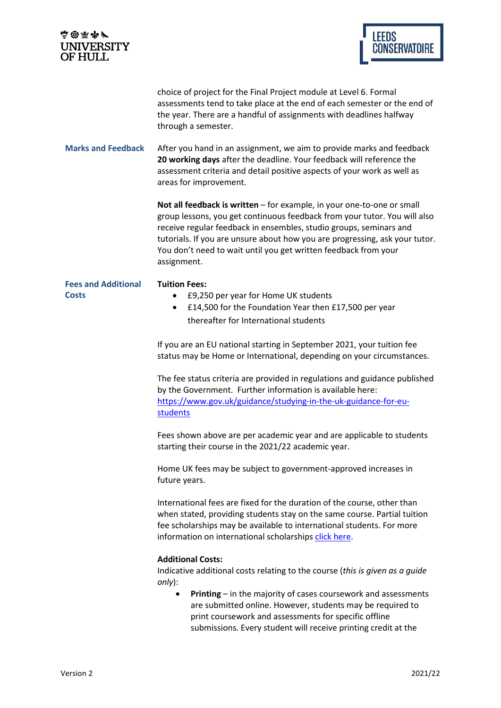| <b>南@雨水/</b><br><b>UNIVERSITY</b><br><b>OF HULL</b> | <b>LEEDS</b><br><b>CONSERVATOIRE</b>                                                                                                                                                                                                                                                                                                                                                       |
|-----------------------------------------------------|--------------------------------------------------------------------------------------------------------------------------------------------------------------------------------------------------------------------------------------------------------------------------------------------------------------------------------------------------------------------------------------------|
|                                                     | choice of project for the Final Project module at Level 6. Formal<br>assessments tend to take place at the end of each semester or the end of<br>the year. There are a handful of assignments with deadlines halfway<br>through a semester.                                                                                                                                                |
| <b>Marks and Feedback</b>                           | After you hand in an assignment, we aim to provide marks and feedback<br>20 working days after the deadline. Your feedback will reference the<br>assessment criteria and detail positive aspects of your work as well as<br>areas for improvement.                                                                                                                                         |
|                                                     | Not all feedback is written - for example, in your one-to-one or small<br>group lessons, you get continuous feedback from your tutor. You will also<br>receive regular feedback in ensembles, studio groups, seminars and<br>tutorials. If you are unsure about how you are progressing, ask your tutor.<br>You don't need to wait until you get written feedback from your<br>assignment. |
| <b>Fees and Additional</b><br><b>Costs</b>          | <b>Tuition Fees:</b><br>£9,250 per year for Home UK students<br>$\bullet$<br>£14,500 for the Foundation Year then £17,500 per year<br>٠<br>thereafter for International students                                                                                                                                                                                                           |
|                                                     | If you are an EU national starting in September 2021, your tuition fee<br>status may be Home or International, depending on your circumstances.                                                                                                                                                                                                                                            |
|                                                     | The fee status criteria are provided in regulations and guidance published<br>by the Government. Further information is available here:<br>https://www.gov.uk/guidance/studying-in-the-uk-guidance-for-eu-<br>students                                                                                                                                                                     |
|                                                     | Fees shown above are per academic year and are applicable to students<br>starting their course in the 2021/22 academic year.                                                                                                                                                                                                                                                               |
|                                                     | Home UK fees may be subject to government-approved increases in<br>future years.                                                                                                                                                                                                                                                                                                           |
|                                                     | International fees are fixed for the duration of the course, other than<br>when stated, providing students stay on the same course. Partial tuition<br>fee scholarships may be available to international students. For more<br>information on international scholarships click here.                                                                                                      |
|                                                     | <b>Additional Costs:</b><br>Indicative additional costs relating to the course (this is given as a guide<br>only):                                                                                                                                                                                                                                                                         |
|                                                     | Printing - in the majority of cases coursework and assessments<br>$\bullet$<br>are submitted online. However, students may be required to<br>print coursework and assessments for specific offline<br>submissions. Every student will receive printing credit at the                                                                                                                       |